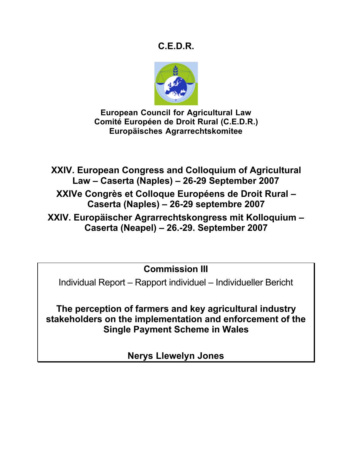# **C.E.D.R.**



**European Council for Agricultural Law Comité Européen de Droit Rural (C.E.D.R.) Europäisches Agrarrechtskomitee**

**XXIV. European Congress and Colloquium of Agricultural Law – Caserta (Naples) – 26-29 September 2007**

**XXIVe Congrès et Colloque Européens de Droit Rural – Caserta (Naples) – 26-29 septembre 2007**

**XXIV. Europäischer Agrarrechtskongress mit Kolloquium – Caserta (Neapel) – 26.-29. September 2007**

**Commission III**

Individual Report – Rapport individuel – Individueller Bericht

**The perception of farmers and key agricultural industry stakeholders on the implementation and enforcement of the Single Payment Scheme in Wales**

**Nerys Llewelyn Jones**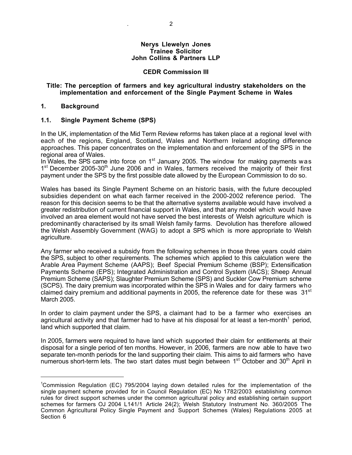#### **Nerys Llewelyn Jones Trainee Solicitor John Collins & Partners LLP**

#### **CEDR Commission III**

#### **Title: The perception of farmers and key agricultural industry stakeholders on the implementation and enforcement of the Single Payment Scheme in Wales**

#### **1. Background**

#### **1.1. Single Payment Scheme (SPS)**

In the UK, implementation of the Mid Term Review reforms has taken place at a regional level with each of the regions, England, Scotland, Wales and Northern Ireland adopting difference approaches. This paper concentrates on the implementation and enforcement of the SPS in the regional area of Wales.

In Wales, the SPS came into force on  $1<sup>st</sup>$  January 2005. The window for making payments was 1<sup>st</sup> December 2005-30<sup>th</sup> June 2006 and in Wales, farmers received the majority of their first payment under the SPS by the first possible date allowed by the European Commission to do so.

Wales has based its Single Payment Scheme on an historic basis, with the future decoupled subsidies dependent on what each farmer received in the 2000-2002 reference period. The reason for this decision seems to be that the alternative systems available would have involved a greater redistribution of current financial support in Wales, and that any model which would have involved an area element would not have served the best interests of Welsh agriculture which is predominantly characterised by its small Welsh family farms. Devolution has therefore allowed the Welsh Assembly Government (WAG) to adopt a SPS which is more appropriate to Welsh agriculture.

Any farmer who received a subsidy from the following schemes in those three years could claim the SPS, subject to other requirements. The schemes which applied to this calculation were the Arable Area Payment Scheme (AAPS); Beef Special Premium Scheme (BSP); Extensification Payments Scheme (EPS); Integrated Administration and Control System (IACS); Sheep Annual Premium Scheme (SAPS); Slaughter Premium Scheme (SPS) and Suckler Cow Premium scheme (SCPS). The dairy premium was incorporated within the SPS in Wales and for dairy farmers who claimed dairy premium and additional payments in 2005, the reference date for these was  $31<sup>st</sup>$ March 2005.

In order to claim payment under the SPS, a claimant had to be a farmer who exercises an agricultural activity and that farmer had to have at his disposal for at least a ten-month<sup>1</sup> period, land which supported that claim.

In 2005, farmers were required to have land which supported their claim for entitlements at their disposal for a single period of ten months. However, in 2006, farmers are now able to have two separate ten-month periods for the land supporting their claim. This aims to aid farmers who have numerous short-term lets. The two start dates must begin between 1<sup>st</sup> October and 30<sup>th</sup> April in

 $\frac{1}{1}$ <sup>1</sup>Commission Regulation (EC) 795/2004 laying down detailed rules for the implementation of the single payment scheme provided for in Council Regulation (EC) No 1782/2003 establishing common rules for direct support schemes under the common agricultural policy and establishing certain support schemes for farmers OJ 2004 L141/1 Article 24(2); Welsh Statutory Instrument No. 360/2005 The Common Agricultural Policy Single Payment and Support Schemes (Wales) Regulations 2005 at Section 6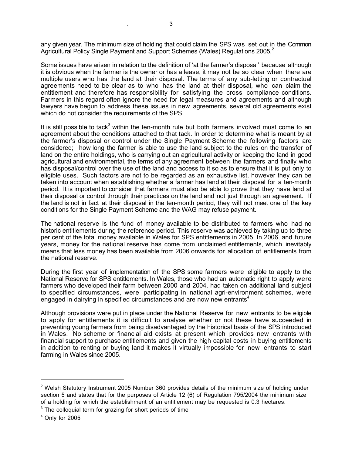any given year. The minimum size of holding that could claim the SPS was set out in the Common Agricultural Policy Single Payment and Support Schemes (Wales) Regulations 2005.<sup>2</sup>

Some issues have arisen in relation to the definition of 'at the farmer's disposal' because although it is obvious when the farmer is the owner or has a lease, it may not be so clear when there are multiple users who has the land at their disposal. The terms of any sub-letting or contractual agreements need to be clear as to who has the land at their disposal, who can claim the entitlement and therefore has responsibility for satisfying the cross compliance conditions. Farmers in this regard often ignore the need for legal measures and agreements and although lawyers have begun to address these issues in new agreements, several old agreements exist which do not consider the requirements of the SPS.

It is still possible to tack<sup>3</sup> within the ten-month rule but both farmers involved must come to an agreement about the conditions attached to that tack. In order to determine what is meant by at the farmer's disposal or control under the Single Payment Scheme the following factors are considered; how long the farmer is able to use the land subject to the rules on the transfer of land on the entire holdings, who is carrying out an agricultural activity or keeping the land in good agricultural and environmental, the terms of any agreement between the farmers and finally who has disposal/control over the use of the land and access to it so as to ensure that it is put only to eligible uses. Such factors are not to be regarded as an exhaustive list, however they can be taken into account when establishing whether a farmer has land at their disposal for a ten-month period. It is important to consider that farmers must also be able to prove that they have land at their disposal or control through their practices on the land and not just through an agreement. If the land is not in fact at their disposal in the ten-month period, they will not meet one of the key conditions for the Single Payment Scheme and the WAG may refuse payment.

The national reserve is the fund of money available to be distributed to farmers who had no historic entitlements during the reference period. This reserve was achieved by taking up to three per cent of the total money available in Wales for SPS entitlements in 2005. In 2006, and future years, money for the national reserve has come from unclaimed entitlements, which inevitably means that less money has been available from 2006 onwards for allocation of entitlements from the national reserve.

During the first year of implementation of the SPS some farmers were eligible to apply to the National Reserve for SPS entitlements. In Wales, those who had an automatic right to apply were farmers who developed their farm between 2000 and 2004, had taken on additional land subject to specified circumstances, were participating in national agri-environment schemes, were engaged in dairying in specified circumstances and are now new entrants<sup>4</sup>

Although provisions were put in place under the National Reserve for new entrants to be eligible to apply for entitlements it is difficult to analyse whether or not these have succeeded in preventing young farmers from being disadvantaged by the historical basis of the SPS introduced in Wales. No scheme or financial aid exists at present which provides new entrants with financial support to purchase entitlements and given the high capital costs in buying entitlements in addition to renting or buying land it makes it virtually impossible for new entrants to start farming in Wales since 2005.

<sup>&</sup>lt;sup>2</sup> Welsh Statutory Instrument 2005 Number 360 provides details of the minimum size of holding under section 5 and states that for the purposes of Article 12 (6) of Regulation 795/2004 the minimum size of a holding for which the establishment of an entitlement may be requested is 0.3 hectares.

 $3$  The colloquial term for grazing for short periods of time

<sup>4</sup> Only for 2005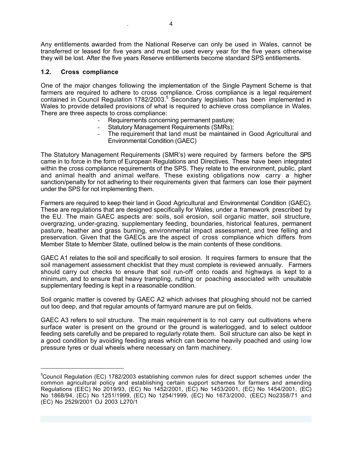Any entitlements awarded from the National Reserve can only be used in Wales, cannot be transferred or leased for five years and must be used every year for the five years otherwise they will be lost. After the five years Reserve entitlements become standard SPS entitlements.

### **1.2. Cross compliance**

 $\overline{a}$ 

One of the major changes following the implementation of the Single Payment Scheme is that farmers are required to adhere to cross compliance. Cross compliance is a legal requirement contained in Council Regulation 1782/2003.<sup>5</sup> Secondary legislation has been implemented in Wales to provide detailed provisions of what is required to achieve cross compliance in Wales. There are three aspects to cross compliance:

- Requirements concerning permanent pasture;
- Statutory Management Requirements (SMRs):
- The requirement that land must be maintained in Good Agricultural and Environmental Condition (GAEC)

The Statutory Management Requirements (SMR's) were required by farmers before the SPS came in to force in the form of European Regulations and Directives. These have been integrated within the cross compliance requirements of the SPS. They relate to the environment, public, plant and animal health and animal welfare. These existing obligations now carry a higher sanction/penalty for not adhering to their requirements given that farmers can lose their payment under the SPS for not implementing them.

Farmers are required to keep their land in Good Agricultural and Environmental Condition (GAEC). These are regulations that are designed specifically for Wales, under a framework prescribed by the EU. The main GAEC aspects are: soils, soil erosion, soil organic matter, soil structure, overgrazing, under-grazing, supplementary feeding, boundaries, historical features, permanent pasture, heather and grass burning, environmental impact assessment, and tree felling and preservation. Given that the GAECs are the aspect of cross compliance which differs from Member State to Member State, outlined below is the main contents of these conditions.

GAEC A1 relates to the soil and specifically to soil erosion. It requires farmers to ensure that the soil management assessment checklist that they must complete is reviewed annually. Farmers should carry out checks to ensure that soil run-off onto roads and highways is kept to a minimum, and to ensure that heavy trampling, rutting or poaching associated with unsuitable supplementary feeding is kept in a reasonable condition.

Soil organic matter is covered by GAEC A2 which advises that ploughing should not be carried out too deep, and that regular amounts of farmyard manure are put on fields.

GAEC A3 refers to soil structure. The main requirement is to not carry out cultivations where surface water is present on the ground or the ground is waterlogged, and to select outdoor feeding sets carefully and be prepared to regularly rotate them. Soil structure can also be kept in a good condition by avoiding feeding areas which can become heavily poached and using low pressure tyres or dual wheels where necessary on farm machinery.

<sup>&</sup>lt;sup>5</sup>Council Regulation (EC) 1782/2003 establishing common rules for direct support schemes under the common agricultural policy and establishing certain support schemes for farmers and amending Regulations (EEC) No 2019/93, (EC) No 1452/2001, (EC) No 1453/2001, (EC) No 1454/2001, (EC) No 1868/94, (EC) No 1251/1999, (EC) No 1254/1999, (EC) No 1673/2000, (EEC) No2358/71 and (EC) No 2529/2001 OJ 2003 L270/1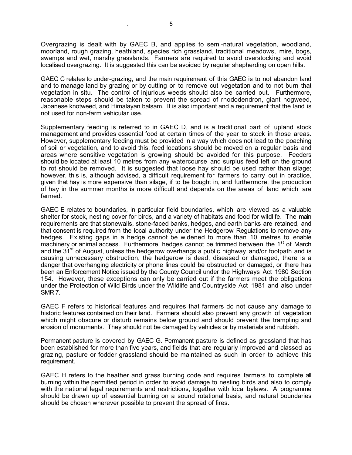Overgrazing is dealt with by GAEC B, and applies to semi-natural vegetation, woodland, moorland, rough grazing, heathland, species rich grassland, traditional meadows, mire, bogs, swamps and wet, marshy grasslands. Farmers are required to avoid overstocking and avoid localised overgrazing. It is suggested this can be avoided by regular shepherding on open hills.

GAEC C relates to under-grazing, and the main requirement of this GAEC is to not abandon land and to manage land by grazing or by cutting or to remove cut vegetation and to not burn that vegetation in situ. The control of injurious weeds should also be carried out. Furthermore, reasonable steps should be taken to prevent the spread of rhododendron, giant hogweed, Japanese knotweed, and Himalayan balsam. It is also important and a requirement that the land is not used for non-farm vehicular use.

Supplementary feeding is referred to in GAEC D, and is a traditional part of upland stock management and provides essential food at certain times of the year to stock in those areas. However, supplementary feeding must be provided in a way which does not lead to the poaching of soil or vegetation, and to avoid this, feed locations should be moved on a regular basis and areas where sensitive vegetation is growing should be avoided for this purpose. Feeders should be located at least 10 metres from any watercourse and surplus feed left on the ground to rot should be removed. It is suggested that loose hay should be used rather than silage; however, this is, although advised, a difficult requirement for farmers to carry out in practice, given that hay is more expensive than silage, if to be bought in, and furthermore, the production of hay in the summer months is more difficult and depends on the areas of land which are farmed.

GAEC E relates to boundaries, in particular field boundaries, which are viewed as a valuable shelter for stock, nesting cover for birds, and a variety of habitats and food for wildlife. The main requirements are that stonewalls, stone-faced banks, hedges, and earth banks are retained, and that consent is required from the local authority under the Hedgerow Regulations to remove any hedges. Existing gaps in a hedge cannot be widened to more than 10 metres to enable machinery or animal access. Furthermore, hedges cannot be trimmed between the  $1<sup>st</sup>$  of March and the  $31<sup>st</sup>$  of August, unless the hedgerow overhangs a public highway and/or footpath and is causing unnecessary obstruction, the hedgerow is dead, diseased or damaged, there is a danger that overhanging electricity or phone lines could be obstructed or damaged, or there has been an Enforcement Notice issued by the County Council under the Highways Act 1980 Section 154. However, these exceptions can only be carried out if the farmers meet the obligations under the Protection of Wild Birds under the Wildlife and Countryside Act 1981 and also under SMR 7.

GAEC F refers to historical features and requires that farmers do not cause any damage to historic features contained on their land. Farmers should also prevent any growth of vegetation which might obscure or disturb remains below ground and should prevent the trampling and erosion of monuments. They should not be damaged by vehicles or by materials and rubbish.

Permanent pasture is covered by GAEC G. Permanent pasture is defined as grassland that has been established for more than five years, and fields that are regularly improved and classed as grazing, pasture or fodder grassland should be maintained as such in order to achieve this requirement.

GAEC H refers to the heather and grass burning code and requires farmers to complete all burning within the permitted period in order to avoid damage to nesting birds and also to comply with the national legal requirements and restrictions, together with local bylaws. A programme should be drawn up of essential burning on a sound rotational basis, and natural boundaries should be chosen wherever possible to prevent the spread of fires.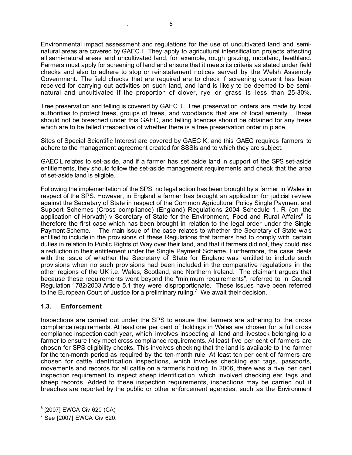Environmental impact assessment and regulations for the use of uncultivated land and seminatural areas are covered by GAEC I. They apply to agricultural intensification projects affecting all semi-natural areas and uncultivated land, for example, rough grazing, moorland, heathland. Farmers must apply for screening of land and ensure that it meets its criteria as stated under field checks and also to adhere to stop or reinstatement notices served by the Welsh Assembly Government. The field checks that are required are to check if screening consent has been received for carrying out activities on such land, and land is likely to be deemed to be seminatural and uncultivated if the proportion of clover, rye or grass is less than 25-30%.

Tree preservation and felling is covered by GAEC J. Tree preservation orders are made by local authorities to protect trees, groups of trees, and woodlands that are of local amenity. These should not be breached under this GAEC, and felling licences should be obtained for any trees which are to be felled irrespective of whether there is a tree preservation order in place.

Sites of Special Scientific Interest are covered by GAEC K, and this GAEC requires farmers to adhere to the management agreement created for SSSIs and to which they are subject.

GAEC L relates to set-aside, and if a farmer has set aside land in support of the SPS set-aside entitlements, they should follow the set-aside management requirements and check that the area of set-aside land is eligible.

Following the implementation of the SPS, no legal action has been brought by a farmer in Wales in respect of the SPS. However, in England a farmer has brought an application for judicial review against the Secretary of State in respect of the Common Agricultural Policy Single Payment and Support Schemes (Cross compliance) (England) Regulations 2004 Schedule 1. R (on the application of Horvath) v Secretary of State for the Environment, Food and Rural Affairs<sup>6</sup> is therefore the first case which has been brought in relation to the legal order under the Single Payment Scheme. The main issue of the case relates to whether the Secretary of State was entitled to include in the provisions of these Regulations that farmers had to comply with certain duties in relation to Public Rights of Way over their land, and that if farmers did not, they could risk a reduction in their entitlement under the Single Payment Scheme. Furthermore, the case deals with the issue of whether the Secretary of State for England was entitled to include such provisions when no such provisions had been included in the comparative regulations in the other regions of the UK i.e. Wales, Scotland, and Northern Ireland. The claimant argues that because these requirements went beyond the "minimum requirements", referred to in Council Regulation 1782/2003 Article 5.1 they were disproportionate. These issues have been referred to the European Court of Justice for a preliminary ruling.<sup>7</sup> We await their decision.

### **1.3. Enforcement**

Inspections are carried out under the SPS to ensure that farmers are adhering to the cross compliance requirements. At least one per cent of holdings in Wales are chosen for a full cross compliance inspection each year, which involves inspecting all land and livestock belonging to a farmer to ensure they meet cross compliance requirements. At least five per cent of farmers are chosen for SPS eligibility checks. This involves checking that the land is available to the farmer for the ten-month period as required by the ten-month rule. At least ten per cent of farmers are chosen for cattle identification inspections, which involves checking ear tags, passports, movements and records for all cattle on a farmer's holding. In 2006, there was a five per cent inspection requirement to inspect sheep identification, which involved checking ear tags and sheep records. Added to these inspection requirements, inspections may be carried out if breaches are reported by the public or other enforcement agencies, such as the Environment

<sup>&</sup>lt;sup>6</sup> [2007] EWCA Civ 620 (CA)

 $7$  See [2007] EWCA Civ 620.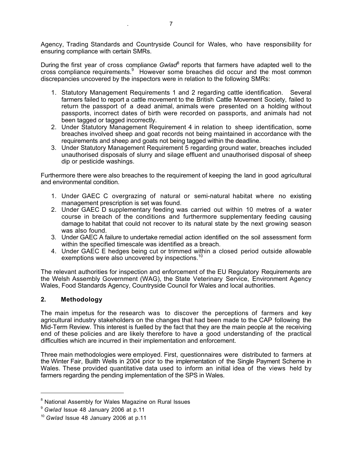Agency, Trading Standards and Countryside Council for Wales, who have responsibility for ensuring compliance with certain SMRs.

During the first year of cross compliance *Gwlad*<sup>8</sup> reports that farmers have adapted well to the cross compliance requirements.<sup>9</sup> However some breaches did occur and the most common discrepancies uncovered by the inspectors were in relation to the following SMRs:

- 1. Statutory Management Requirements 1 and 2 regarding cattle identification. Several farmers failed to report a cattle movement to the British Cattle Movement Society, failed to return the passport of a dead animal, animals were presented on a holding without passports, incorrect dates of birth were recorded on passports, and animals had not been tagged or tagged incorrectly.
- 2. Under Statutory Management Requirement 4 in relation to sheep identification, some breaches involved sheep and goat records not being maintained in accordance with the requirements and sheep and goats not being tagged within the deadline.
- 3. Under Statutory Management Requirement 5 regarding ground water, breaches included unauthorised disposals of slurry and silage effluent and unauthorised disposal of sheep dip or pesticide washings.

Furthermore there were also breaches to the requirement of keeping the land in good agricultural and environmental condition.

- 1. Under GAEC C overgrazing of natural or semi-natural habitat where no existing management prescription is set was found.
- 2. Under GAEC D supplementary feeding was carried out within 10 metres of a water course in breach of the conditions and furthermore supplementary feeding causing damage to habitat that could not recover to its natural state by the next growing season was also found.
- 3. Under GAEC A failure to undertake remedial action identified on the soil assessment form within the specified timescale was identified as a breach.
- 4. Under GAEC E hedges being cut or trimmed within a closed period outside allowable exemptions were also uncovered by inspections.<sup>10</sup>

The relevant authorities for inspection and enforcement of the EU Regulatory Requirements are the Welsh Assembly Government (WAG), the State Veterinary Service, Environment Agency Wales, Food Standards Agency, Countryside Council for Wales and local authorities.

### **2. Methodology**

 $\overline{a}$ 

The main impetus for the research was to discover the perceptions of farmers and key agricultural industry stakeholders on the changes that had been made to the CAP following the Mid-Term Review. This interest is fuelled by the fact that they are the main people at the receiving end of these policies and are likely therefore to have a good understanding of the practical difficulties which are incurred in their implementation and enforcement.

Three main methodologies were employed. First, questionnaires were distributed to farmers at the Winter Fair, Builth Wells in 2004 prior to the implementation of the Single Payment Scheme in Wales. These provided quantitative data used to inform an initial idea of the views held by farmers regarding the pending implementation of the SPS in Wales.

<sup>&</sup>lt;sup>8</sup> National Assembly for Wales Magazine on Rural Issues

<sup>9</sup> *Gwlad* Issue 48 January 2006 at p.11

<sup>10</sup> *Gwlad* Issue 48 January 2006 at p.11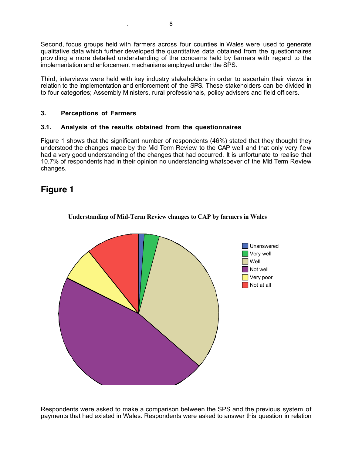Second, focus groups held with farmers across four counties in Wales were used to generate qualitative data which further developed the quantitative data obtained from the questionnaires providing a more detailed understanding of the concerns held by farmers with regard to the implementation and enforcement mechanisms employed under the SPS.

Third, interviews were held with key industry stakeholders in order to ascertain their views in relation to the implementation and enforcement of the SPS. These stakeholders can be divided in to four categories; Assembly Ministers, rural professionals, policy advisers and field officers.

### **3. Perceptions of Farmers**

### **3.1. Analysis of the results obtained from the questionnaires**

Figure 1 shows that the significant number of respondents (46%) stated that they thought they understood the changes made by the Mid Term Review to the CAP well and that only very few had a very good understanding of the changes that had occurred. It is unfortunate to realise that 10.7% of respondents had in their opinion no understanding whatsoever of the Mid Term Review changes.

# **Figure 1**



#### **Understanding of Mid-Term Review changes to CAP by farmers in Wales**

Respondents were asked to make a comparison between the SPS and the previous system of payments that had existed in Wales. Respondents were asked to answer this question in relation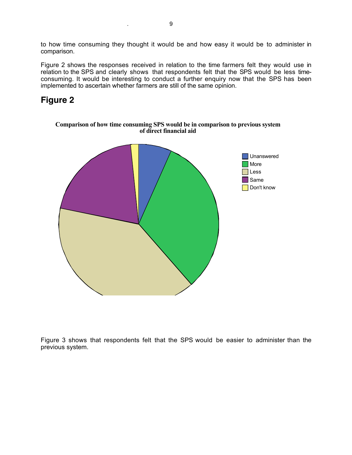to how time consuming they thought it would be and how easy it would be to administer in comparison.

Figure 2 shows the responses received in relation to the time farmers felt they would use in relation to the SPS and clearly shows that respondents felt that the SPS would be less timeconsuming. It would be interesting to conduct a further enquiry now that the SPS has been implemented to ascertain whether farmers are still of the same opinion.

# **Figure 2**



Figure 3 shows that respondents felt that the SPS would be easier to administer than the previous system.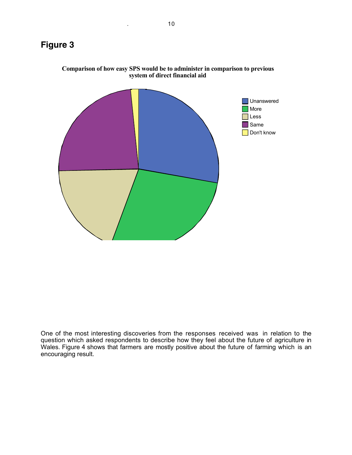

**Comparison of how easy SPS would be to administer in comparison to previous system of direct financial aid**

One of the most interesting discoveries from the responses received was in relation to the question which asked respondents to describe how they feel about the future of agriculture in Wales. Figure 4 shows that farmers are mostly positive about the future of farming which is an encouraging result.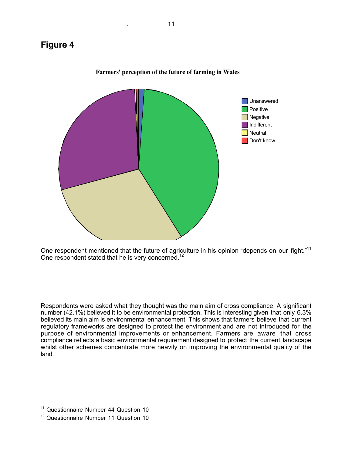

**Farmers' perception of the future of farming in Wales**

One respondent mentioned that the future of agriculture in his opinion "depends on our fight."<sup>11</sup> One respondent stated that he is very concerned.<sup>12</sup>

Respondents were asked what they thought was the main aim of cross compliance. A significant number (42.1%) believed it to be environmental protection. This is interesting given that only 6.3% believed its main aim is environmental enhancement. This shows that farmers believe that current regulatory frameworks are designed to protect the environment and are not introduced for the purpose of environmental improvements or enhancement. Farmers are aware that cross compliance reflects a basic environmental requirement designed to protect the current landscape whilst other schemes concentrate more heavily on improving the environmental quality of the land.

<sup>&</sup>lt;sup>11</sup> Questionnaire Number 44 Question 10

<sup>&</sup>lt;sup>12</sup> Questionnaire Number 11 Question 10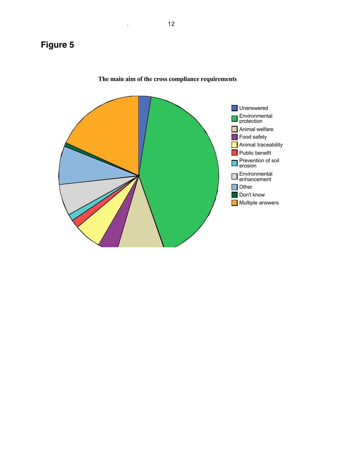

**The main aim of the cross compliance requirements**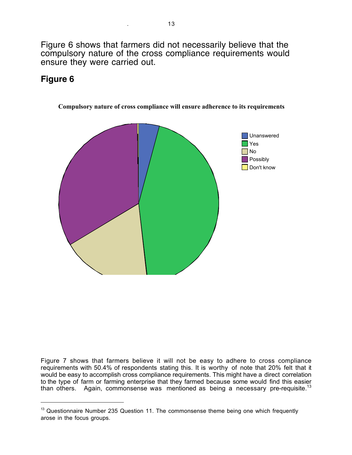Figure 6 shows that farmers did not necessarily believe that the compulsory nature of the cross compliance requirements would ensure they were carried out.

# **Figure 6**

 $\overline{a}$ 



**Compulsory nature of cross compliance will ensure adherence to its requirements**

Figure 7 shows that farmers believe it will not be easy to adhere to cross compliance requirements with 50.4% of respondents stating this. It is worthy of note that 20% felt that it would be easy to accomplish cross compliance requirements. This might have a direct correlation to the type of farm or farming enterprise that they farmed because some would find this easier than others. Again, commonsense was mentioned as being a necessary pre-requisite.<sup>13</sup>

 $13$  Questionnaire Number 235 Question 11. The commonsense theme being one which frequently arose in the focus groups.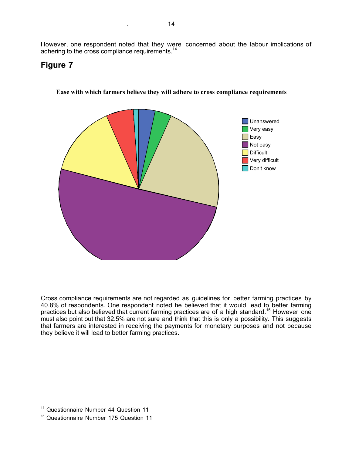However, one respondent noted that they were concerned about the labour implications of adhering to the cross compliance requirements.<sup>14</sup>

## **Figure 7**



**Ease with which farmers believe they will adhere to cross compliance requirements**

Cross compliance requirements are not regarded as guidelines for better farming practices by 40.8% of respondents. One respondent noted he believed that it would lead to better farming practices but also believed that current farming practices are of a high standard.<sup>15</sup> However one must also point out that 32.5% are not sure and think that this is only a possibility. This suggests that farmers are interested in receiving the payments for monetary purposes and not because they believe it will lead to better farming practices.

<sup>&</sup>lt;sup>14</sup> Questionnaire Number 44 Question 11

<sup>&</sup>lt;sup>15</sup> Questionnaire Number 175 Question 11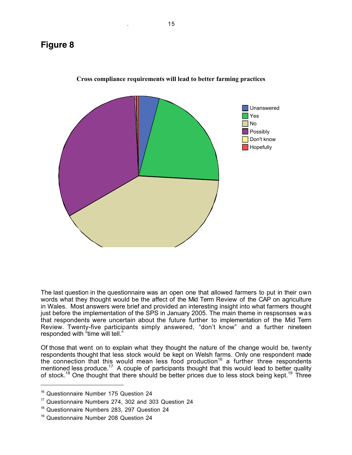

**Cross compliance requirements will lead to better farming practices**

The last question in the questionnaire was an open one that allowed farmers to put in their own words what they thought would be the affect of the Mid Term Review of the CAP on agriculture in Wales. Most answers were brief and provided an interesting insight into what farmers thought just before the implementation of the SPS in January 2005. The main theme in respsonses was that respondents were uncertain about the future further to implementation of the Mid Term Review. Twenty-five participants simply answered, "don't know" and a further nineteen responded with "time will tell."

Of those that went on to explain what they thought the nature of the change would be, twenty respondents thought that less stock would be kept on Welsh farms. Only one respondent made the connection that this would mean less food production<sup>16</sup> a further three respondents mentioned less produce.<sup>17</sup> A couple of participants thought that this would lead to better quality of stock.<sup>18</sup> One thought that there should be better prices due to less stock being kept.<sup>19</sup> Three

<sup>&</sup>lt;sup>16</sup> Questionnaire Number 175 Question 24

<sup>&</sup>lt;sup>17</sup> Questionnaire Numbers 274, 302 and 303 Question 24

<sup>&</sup>lt;sup>18</sup> Questionnaire Numbers 283, 297 Question 24

<sup>&</sup>lt;sup>19</sup> Questionnaire Number 208 Question 24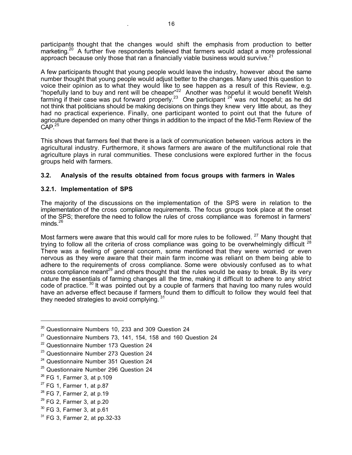participants thought that the changes would shift the emphasis from production to better marketing.<sup>20</sup> A further five respondents believed that farmers would adapt a more professional approach because only those that ran a financially viable business would survive. $21$ 

A few participants thought that young people would leave the industry, however about the same number thought that young people would adjust better to the changes. Many used this question to voice their opinion as to what they would like to see happen as a result of this Review, e.g. "hopefully land to buy and rent will be cheaper"<sup>22</sup> Another was hopeful it would benefit Welsh farming if their case was put forward properly.<sup>23</sup> One participant  $^{24}$  was not hopeful; as he did not think that politicians should be making decisions on things they knew very little about, as they had no practical experience. Finally, one participant wonted to point out that the future of agriculture depended on many other things in addition to the impact of the Mid-Term Review of the  $CAP.<sup>25</sup>$ 

This shows that farmers feel that there is a lack of communication between various actors in the agricultural industry. Furthermore, it shows farmers are aware of the multifunctional role that agriculture plays in rural communities. These conclusions were explored further in the focus groups held with farmers.

## **3.2. Analysis of the results obtained from focus groups with farmers in Wales**

### **3.2.1. Implementation of SPS**

The majority of the discussions on the implementation of the SPS were in relation to the implementation of the cross compliance requirements. The focus groups took place at the onset of the SPS; therefore the need to follow the rules of cross compliance was foremost in farmers' minds. $^{26}$ 

Most farmers were aware that this would call for more rules to be followed.<sup>27</sup> Many thought that trying to follow all the criteria of cross compliance was going to be overwhelmingly difficult  $28$ There was a feeling of general concern, some mentioned that they were worried or even nervous as they were aware that their main farm income was reliant on them being able to adhere to the requirements of cross compliance. Some were obviously confused as to what cross compliance meant<sup>29</sup> and others thought that the rules would be easy to break. By its very nature the essentials of farming changes all the time, making it difficult to adhere to any strict code of practice.<sup>30</sup> It was pointed out by a couple of farmers that having too many rules would have an adverse effect because if farmers found them to difficult to follow they would feel that they needed strategies to avoid complying.  $31$ 

<sup>25</sup> Questionnaire Number 296 Question 24

 $20$  Questionnaire Numbers 10, 233 and 309 Question 24

 $21$  Questionnaire Numbers 73, 141, 154, 158 and 160 Question 24

<sup>&</sup>lt;sup>22</sup> Questionnaire Number 173 Question 24

<sup>&</sup>lt;sup>23</sup> Questionnaire Number 273 Question 24

<sup>&</sup>lt;sup>24</sup> Questionnaire Number 351 Question 24

 $26$  FG 1, Farmer 3, at p.109

 $27$  FG 1, Farmer 1, at p.87

 $28$  FG 7, Farmer 2, at p.19

 $29$  FG 2, Farmer 3, at p.20

 $30$  FG 3, Farmer 3, at p.61

 $31$  FG 3, Farmer 2, at pp. 32-33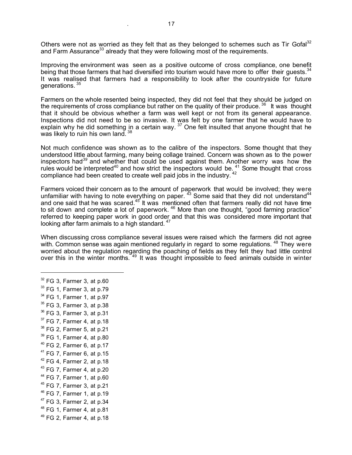Others were not as worried as they felt that as they belonged to schemes such as Tir Gofal<sup>32</sup> and Farm Assurance<sup>33</sup> already that they were following most of the requirements.

Improving the environment was seen as a positive outcome of cross compliance, one benefit being that those farmers that had diversified into tourism would have more to offer their quests.<sup>34</sup> It was realised that farmers had a responsibility to look after the countryside for future generations. <sup>35</sup>

Farmers on the whole resented being inspected, they did not feel that they should be judged on the requirements of cross compliance but rather on the quality of their produce.<sup>36</sup> It was thought that it should be obvious whether a farm was well kept or not from its general appearance. Inspections did not need to be so invasive. It was felt by one farmer that he would have to explain why he did something in a certain way.  $37$  One felt insulted that anyone thought that he was likely to ruin his own land. 38

Not much confidence was shown as to the calibre of the inspectors. Some thought that they understood little about farming, many being collage trained. Concern was shown as to the power inspectors had*<sup>39</sup>* and whether that could be used against them. Another worry was how the rules would be interpreted<sup>40</sup> and how strict the inspectors would be.  $41$  Some thought that cross compliance had been created to create well paid jobs in the industry. <sup>42</sup>

Farmers voiced their concern as to the amount of paperwork that would be involved; they were unfamiliar with having to note everything on paper.  $^{43}$  Some said that they did not understand<sup>44</sup> and one said that he was scared. $45$  It was mentioned often that farmers really did not have time to sit down and complete a lot of paperwork.<sup>46</sup> More than one thought, "good farming practice" referred to keeping paper work in good order and that this was considered more important that looking after farm animals to a high standard.<sup>47</sup>

When discussing cross compliance several issues were raised which the farmers did not agree with. Common sense was again mentioned regularly in regard to some regulations. <sup>48</sup> They were worried about the regulation regarding the poaching of fields as they felt they had little control over this in the winter months. <sup>49</sup> It was thought impossible to feed animals outside in winter

 FG 3, Farmer 3, at p.60 <sup>33</sup> FG 1, Farmer 3, at p.79 FG 1, Farmer 1, at p.97 FG 3, Farmer 3, at p.38 FG 3, Farmer 3, at p.31 FG 7, Farmer 4, at p.18 FG 2, Farmer 5, at p.21 FG 1, Farmer 4, at p.80 FG 2, Farmer 6, at p.17 FG 7, Farmer 6, at p.15 FG 4, Farmer 2, at p.18 FG 7, Farmer 4, at p.20 FG 7, Farmer 1, at p.60 FG 7, Farmer 3, at p.21 FG 7, Farmer 1, at p.19 FG 3, Farmer 2, at p.34 FG 1, Farmer 4, at p.81 FG 2, Farmer 4, at p.18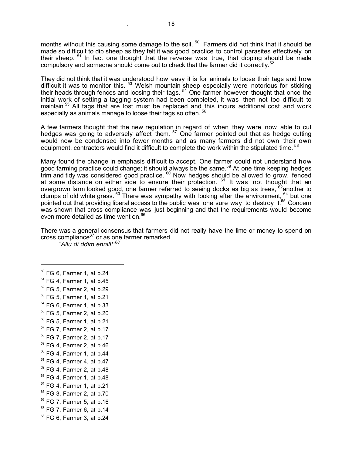months without this causing some damage to the soil. <sup>50</sup> Farmers did not think that it should be made so difficult to dip sheep as they felt it was good practice to control parasites effectively on their sheep. <sup>51</sup> In fact one thought that the reverse was true, that dipping should be made compulsory and someone should come out to check that the farmer did it correctly.<sup>52</sup>

They did not think that it was understood how easy it is for animals to loose their tags and how difficult it was to monitor this. 53 Welsh mountain sheep especially were notorious for sticking their heads through fences and loosing their tags. <sup>54</sup> One farmer however thought that once the initial work of setting a tagging system had been completed, it was then not too difficult to maintain.<sup>55</sup> All tags that are lost must be replaced and this incurs additional cost and work especially as animals manage to loose their tags so often. <sup>56</sup>

A few farmers thought that the new regulation in regard of when they were now able to cut hedges was going to adversely affect them. <sup>57</sup> One farmer pointed out that as hedge cutting would now be condensed into fewer months and as many farmers did not own their own equipment, contractors would find it difficult to complete the work within the stipulated time. <sup>58</sup>

Many found the change in emphasis difficult to accept. One farmer could not understand how good farming practice could change; it should always be the same.<sup>59</sup> At one time keeping hedges trim and tidy was considered good practice. <sup>60</sup> Now hedges should be allowed to grow, fenced at some distance on either side to ensure their protection. <sup>61</sup> It was not thought that an overgrown farm looked good, one farmer referred to seeing docks as big as trees, <sup>62</sup>another to clumps of old white grass. <sup>63</sup> There was sympathy with looking after the environment, <sup>64</sup> but one pointed out that providing liberal access to the public was one sure way to destroy it.<sup>65</sup> Concern was shown that cross compliance was just beginning and that the requirements would become even more detailed as time went on.<sup>66</sup>

There was a general consensus that farmers did not really have the time or money to spend on cross compliance $67$  or as one farmer remarked,

*"Allu di ddim ennill!"<sup>68</sup>*

 $\overline{a}$ 

 FG 6, Farmer 1, at p.24  $<sup>51</sup>$  FG 4, Farmer 1, at p.45</sup> FG 5, Farmer 2, at p.29 FG 5, Farmer 1, at p.21 FG 6, Farmer 1, at p.33 FG 5, Farmer 2, at p.20 FG 5, Farmer 1, at p.21 FG 7, Farmer 2, at p.17 FG 7, Farmer 2, at p.17 FG 4, Farmer 2, at p.46 FG 4, Farmer 1, at p.44 FG 4, Farmer 4, at p.47 FG 4, Farmer 2, at p.48 FG 4, Farmer 1, at p.48 FG 4, Farmer 1, at p.21 <sup>65</sup> FG 3, Farmer 2, at p.70 FG 7, Farmer 5, at p.16 FG 7, Farmer 6, at p.14 <sup>68</sup> FG 6, Farmer 3, at p.24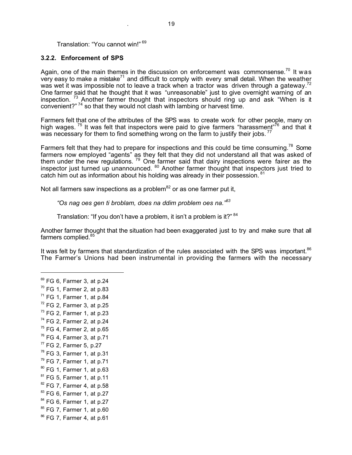#### Translation: "You cannot win!" <sup>69</sup>

#### **3.2.2. Enforcement of SPS**

Again, one of the main themes in the discussion on enforcement was commonsense.<sup>70</sup> It was very easy to make a mistake<sup>71</sup> and difficult to comply with every small detail. When the weather was wet it was impossible not to leave a track when a tractor was driven through a gateway.<sup>72</sup> One farmer said that he thought that it was "unreasonable" just to give overnight warning of an inspection.  $73$  Another farmer thought that inspectors should ring up and ask "When is it convenient?"<sup>74</sup> so that they would not clash with lambing or harvest time.

Farmers felt that one of the attributes of the SPS was to create work for other people, many on high wages. <sup>75</sup> It was felt that inspectors were paid to give farmers "harassment"<sup>76</sup> and that it was necessary for them to find something wrong on the farm to justify their jobs.  $^{77}$ 

Farmers felt that they had to prepare for inspections and this could be time consuming.<sup>78</sup> Some farmers now employed "agents" as they felt that they did not understand all that was asked of them under the new regulations.  $79$  One farmer said that dairy inspections were fairer as the inspector just turned up unannounced. <sup>80</sup> Another farmer thought that inspectors just tried to catch him out as information about his holding was already in their possession. <sup>81</sup>

Not all farmers saw inspections as a problem $^{82}$  or as one farmer put it,

*"Os nag oes gen ti broblam, does na ddim problem oes na."<sup>83</sup>*

Translation: "If you don't have a problem, it isn't a problem is it?" 84

Another farmer thought that the situation had been exaggerated just to try and make sure that all farmers complied.<sup>85</sup>

It was felt by farmers that standardization of the rules associated with the SPS was important.<sup>86</sup> The Farmer's Unions had been instrumental in providing the farmers with the necessary

 $69$  FG 6, Farmer 3, at p.24  $70$  FG 1, Farmer 2, at p.83  $71$  FG 1, Farmer 1, at p.84  $72$  FG 2, Farmer 3, at p.25  $73$  FG 2, Farmer 1, at p.23 <sup>74</sup> FG 2, Farmer 2, at p.24  $75$  FG 4, Farmer 2, at p.65  $76$  FG 4, Farmer 3, at p.71  $^{77}$  FG 2, Farmer 5, p.27  $78$  FG 3, Farmer 1, at p.31  $79$  FG 7, Farmer 1, at p.71  $80$  FG 1, Farmer 1, at p.63  $81$  FG 5, Farmer 1, at p.11 <sup>82</sup> FG 7, Farmer 4, at p.58  $83$  FG 6, Farmer 1, at p.27 <sup>84</sup> FG 6, Farmer 1, at p.27 <sup>85</sup> FG 7, Farmer 1, at p.60 <sup>86</sup> FG 7, Farmer 4, at p.61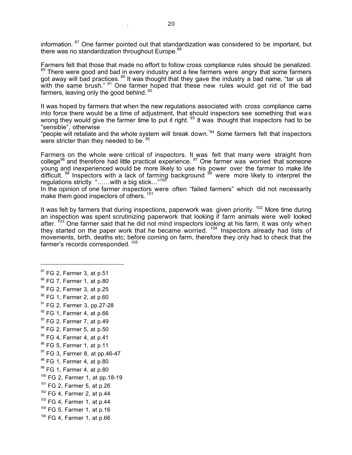information. <sup>87</sup> One farmer pointed out that standardization was considered to be important, but there was no standardization throughout Europe.<sup>88</sup>

Farmers felt that those that made no effort to follow cross compliance rules should be penalized.<br><sup>89</sup> There were good and bad in every industry and a few farmers were angry that some farmers got away will bad practices. <sup>90</sup> It was thought that they gave the industry a bad name, "tar us all with the same brush." <sup>91</sup> One farmer hoped that these new rules would get rid of the bad farmers, leaving only the good behind. 92

It was hoped by farmers that when the new regulations associated with cross compliance came into force there would be a time of adjustment, that should inspectors see something that was wrong they would give the farmer time to put it right. <sup>93</sup> It was thought that inspectors had to be "sensible", otherwise

"people will retaliate and the whole system will break down."94 Some farmers felt that inspectors were stricter than they needed to be.<sup>9</sup>

Farmers on the whole were critical of inspectors. It was felt that many were straight from college<sup>96</sup> and therefore had little practical experience. <sup>97</sup> One farmer was worried that someone young and inexperienced would be more likely to use his power over the farmer to make life difficult.  $98$  Inspectors with a lack of farming background  $99$  were more likely to interpret the regulations strictly "……with a big stick…"<sup>100</sup>

In the opinion of one farmer inspectors were often "failed farmers" which did not necessarily make them good inspectors of others. <sup>101</sup>

It was felt by farmers that during inspections, paperwork was given priority.  $102$  More time during an inspection was spent scrutinizing paperwork that looking if farm animals were well looked after. <sup>103</sup> One farmer said that he did not mind inspectors looking at his farm, it was only when they started on the paper work that he became worried.<sup>104</sup> Inspectors already had lists of movements, birth, deaths etc; before coming on farm, therefore they only had to check that the farmer's records corresponded.<sup>105</sup>

<sup>87</sup> FG 2, Farmer 3, at p.51 88 FG 7, Farmer 1, at p.80 89 FG 2, Farmer 3, at p.25  $90$  FG 1, Farmer 2, at p.60 <sup>91</sup> FG 2, Farmer 3, pp.27-28  $92$  FG 1, Farmer 4, at p.66  $93$  FG 2, Farmer 7, at p.49  $<sup>94</sup>$  FG 2, Farmer 5, at p.50</sup>  $95$  FG 4, Farmer 4, at p.41 <sup>96</sup> FG 5, Farmer 1, at p.11  $97$  FG 3, Farmer 8, at pp.46-47 <sup>98</sup> FG 1, Farmer 4, at p.80  $99$  FG 1, Farmer 4, at p.80  $100$  FG 2, Farmer 1, at pp.18-19 101 FG 2, Farmer 5, at p.26  $102$  FG 4, Farmer 2, at p.44  $103$  FG 4, Farmer 1, at p.44  $104$  FG 5, Farmer 1, at p.16 <sup>105</sup> FG 4, Farmer 1, at p.66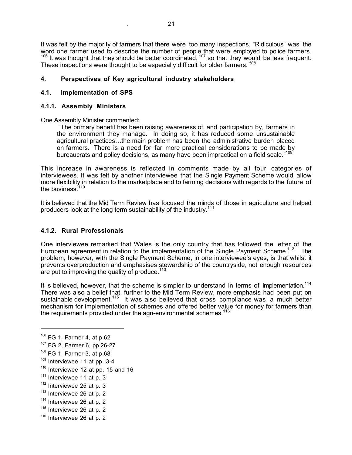It was felt by the majority of farmers that there were too many inspections. "Ridiculous" was the word one farmer used to describe the number of people that were employed to police farmers.  $106$  It was thought that they should be better coordinated,  $107$  so that they would be less frequent. These inspections were thought to be especially difficult for older farmers. *<sup>108</sup>*

### **4. Perspectives of Key agricultural industry stakeholders**

### **4.1. Implementation of SPS**

### **4.1.1. Assembly Ministers**

One Assembly Minister commented:

"The primary benefit has been raising awareness of, and participation by, farmers in the environment they manage. In doing so, it has reduced some unsustainable agricultural practices…the main problem has been the administrative burden placed on farmers. There is a need for far more practical considerations to be made by bureaucrats and policy decisions, as many have been impractical on a field scale."<sup>109</sup>

This increase in awareness is reflected in comments made by all four categories of interviewees. It was felt by another interviewee that the Single Payment Scheme would allow more flexibility in relation to the marketplace and to farming decisions with regards to the future of the business. $1$ 

It is believed that the Mid Term Review has focused the minds of those in agriculture and helped producers look at the long term sustainability of the industry.<sup>111</sup>

### **4.1.2. Rural Professionals**

One interviewee remarked that Wales is the only country that has followed the letter of the European agreement in relation to the implementation of the Single Payment Scheme.<sup>112</sup> The problem, however, with the Single Payment Scheme, in one interviewee's eyes, is that whilst it prevents overproduction and emphasises stewardship of the countryside, not enough resources are put to improving the quality of produce.<sup>113</sup>

It is believed, however, that the scheme is simpler to understand in terms of implementation.<sup>114</sup> There was also a belief that, further to the Mid Term Review, more emphasis had been put on sustainable development.<sup>115</sup> It was also believed that cross compliance was a much better mechanism for implementation of schemes and offered better value for money for farmers than the requirements provided under the agri-environmental schemes.<sup>116</sup>

- $109$  Interviewee 11 at pp. 3-4
- $110$  Interviewee 12 at pp. 15 and 16
- $111$  Interviewee 11 at p. 3
- $112$  Interviewee 25 at p. 3
- $113$  Interviewee 26 at p. 2
- $114$  Interviewee 26 at p. 2
- $115$  Interviewee 26 at p. 2
- $116$  Interviewee 26 at p. 2

<sup>106</sup> FG 1, Farmer 4, at p.62

<sup>107</sup> FG 2, Farmer 6, pp.26-27

<sup>108</sup> FG 1, Farmer 3, at p.68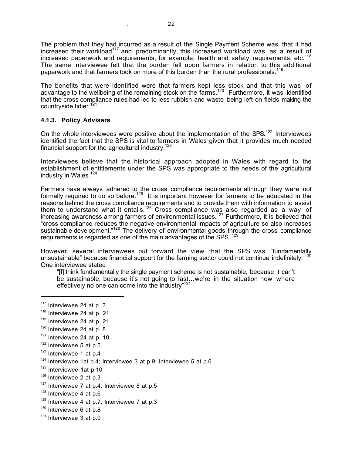The problem that they had incurred as a result of the Single Payment Scheme was that it had increased their workload<sup>117</sup> and, predominantly, this increased workload was as a result of increased paperwork and requirements, for example, health and safety requirements, etc.<sup>118</sup> The same interviewee felt that the burden fell upon farmers in relation to this additional paperwork and that farmers took on more of this burden than the rural professionals.<sup>119</sup>

The benefits that were identified were that farmers kept less stock and that this was of advantage to the wellbeing of the remaining stock on the farms.120 Furthermore, it was identified that the cross compliance rules had led to less rubbish and waste being left on fields making the countryside tidier.<sup>121</sup>

### **4.1.3. Policy Advisers**

On the whole interviewees were positive about the implementation of the SPS.<sup>122</sup> Interviewees identified the fact that the SPS is vital to farmers in Wales given that it provides much needed financial support for the agricultural industry.<sup>123</sup>

Interviewees believe that the historical approach adopted in Wales with regard to the establishment of entitlements under the SPS was appropriate to the needs of the agricultural industry in Wales. $124$ 

Farmers have always adhered to the cross compliance requirements although they were not formally required to do so before.<sup>125</sup> It is important however for farmers to be educated in the reasons behind the cross compliance requirements and to provide them with information to assist them to understand what it entails.<sup>126</sup> Cross compliance was also regarded as a way of increasing awareness among farmers of environmental issues.<sup>127</sup> Furthermore, it is believed that "cross compliance reduces the negative environmental impacts of agriculture so also increases sustainable development."<sup>128</sup> The delivery of environmental goods through the cross compliance requirements is regarded as one of the main advantages of the SPS. <sup>129</sup>

However, several interviewees put forward the view that the SPS was "fundamentally unsustainable" because financial support for the farming sector could not continue indefinitely.<sup>130</sup> One interviewee stated

"[I] think fundamentally the single payment scheme is not sustainable, because it can't be sustainable, because it's not going to last…we're in the situation now where effectively no one can come into the industry"<sup>131</sup>

 $117$  Interviewee 24 at p. 3

 $118$  Interviewee 24 at p. 21

 $119$  Interviewee 24 at p. 21

 $120$  Interviewee 24 at p. 8

 $121$  Interviewee 24 at p. 10

 $122$  Interviewee 5 at p.5

 $123$  Interviewee 1 at p.4

 $124$  Interviewee 1at p.4; Interviewee 3 at p.9; Interviewee 5 at p.6

 $125$  Interviewee 1at p.10

<sup>&</sup>lt;sup>126</sup> Interviewee 2 at p.3

 $127$  Interviewee 7 at p.4; Interviewee 8 at p.5

 $128$  Interviewee 4 at p.6

 $129$  Interviewee 4 at p.7; Interviewee 7 at p.3

<sup>&</sup>lt;sup>130</sup> Interviewee 6 at p.8

 $131$  Interviewee 3 at p.9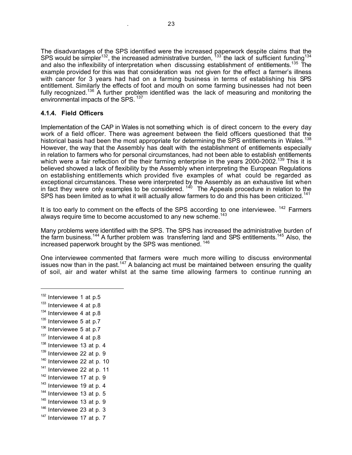The disadvantages of the SPS identified were the increased paperwork despite claims that the SPS would be simpler<sup>132</sup>, the increased administrative burden,  $133$  the lack of sufficient funding<sup>134</sup> and also the inflexibility of interpretation when discussing establishment of entitlements.<sup>135</sup> The example provided for this was that consideration was not given for the effect a farmer's illness with cancer for 3 years had had on a farming business in terms of establishing his SPS entitlement. Similarly the effects of foot and mouth on some farming businesses had not been fully recognized.<sup>136</sup> A further problem identified was the lack of measuring and monitoring the environmental impacts of the SPS.<sup>137</sup>

## **4.1.4. Field Officers**

Implementation of the CAP in Wales is not something which is of direct concern to the every day work of a field officer. There was agreement between the field officers questioned that the historical basis had been the most appropriate for determining the SPS entitlements in Wales.<sup>138</sup> However, the way that the Assembly has dealt with the establishment of entitlements especially in relation to farmers who for personal circumstances, had not been able to establish entitlements which were a fair reflection of the their farming enterprise in the years 2000-2002.<sup>139</sup> This it is believed showed a lack of flexibility by the Assembly when interpreting the European Regulations on establishing entitlements which provided five examples of what could be regarded as exceptional circumstances. These were interpreted by the Assembly as an exhaustive list when in fact they were only examples to be considered.  $140$  The Appeals procedure in relation to the SPS has been limited as to what it will actually allow farmers to do and this has been criticized.<sup>141</sup>

It is too early to comment on the effects of the SPS according to one interviewee.  $142$  Farmers always require time to become accustomed to any new scheme.<sup>1</sup>

Many problems were identified with the SPS. The SPS has increased the administrative burden of the farm business.<sup>144</sup> A further problem was transferring land and SPS entitlements.<sup>145</sup> Also, the increased paperwork brought by the SPS was mentioned. <sup>146</sup>

One interviewee commented that farmers were much more willing to discuss environmental issues now than in the past.<sup>147</sup> A balancing act must be maintained between ensuring the quality of soil, air and water whilst at the same time allowing farmers to continue running an

- $133$  Interviewee 4 at p.8
- $134$  Interviewee 4 at p.8
- $135$  Interviewee 5 at p.7
- $136$  Interviewee 5 at p.7
- $137$  Interviewee 4 at p.8
- $138$  Interviewee 13 at p. 4
- $139$  Interviewee 22 at p. 9
- $140$  Interviewee 22 at p. 10
- $141$  Interviewee 22 at p. 11
- $142$  Interviewee 17 at p. 9
- 
- $143$  Interviewee 19 at p. 4
- $144$  Interviewee 13 at p. 5
- $145$  Interviewee 13 at p. 9
- $146$  Interviewee 23 at p. 3
- $147$  Interviewee 17 at p. 7

 $132$  Interviewee 1 at p.5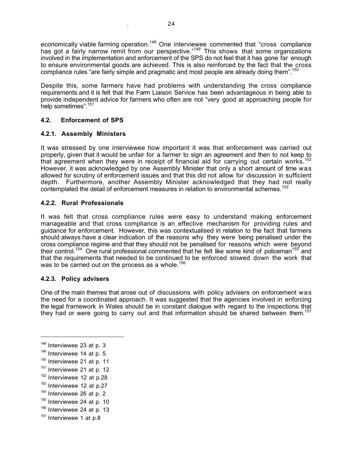economically viable farming operation.<sup>148</sup> One interviewee commented that "cross compliance has got a fairly narrow remit from our perspective."<sup>149</sup> This shows that some organizations involved in the implementation and enforcement of the SPS do not feel that it has gone far enough to ensure environmental goods are achieved. This is also reinforced by the fact that the cross compliance rules "are fairly simple and pragmatic and most people are already doing them".<sup>150</sup>

Despite this, some farmers have had problems with understanding the cross compliance requirements and it is felt that the Farm Liaison Service has been advantageous in being able to provide independent advice for farmers who often are not "very good at approaching people for help sometimes".<sup>151</sup>

## **4.2. Enforcement of SPS**

## **4.2.1. Assembly Ministers**

It was stressed by one interviewee how important it was that enforcement was carried out properly, given that it would be unfair for a farmer to sign an agreement and then to not keep to that agreement when they were in receipt of financial aid for carrying out certain works.<sup>152</sup> However, it was acknowledged by one Assembly Minister that only a short amount of time was allowed for scrutiny of enforcement issues and that this did not allow for discussion in sufficient depth. Furthermore, another Assembly Minister acknowledged that they had not really contemplated the detail of enforcement measures in relation to environmental schemes.<sup>153</sup>

## **4.2.2. Rural Professionals**

It was felt that cross compliance rules were easy to understand making enforcement manageable and that cross compliance is an effective mechanism for providing rules and guidance for enforcement. However, this was contextualised in relation to the fact that farmers should always have a clear indication of the reasons why they were being penalised under the cross compliance regime and that they should not be penalised for reasons which were beyond their control.<sup>154</sup> One rural professional commented that he felt like some kind of policeman<sup>155</sup> and that the requirements that needed to be continued to be enforced slowed down the work that was to be carried out on the process as a whole.<sup>156</sup>

### **4.2.3. Policy advisers**

One of the main themes that arose out of discussions with policy advisers on enforcement was the need for a coordinated approach. It was suggested that the agencies involved in enforcing the legal framework in Wales should be in constant dialogue with regard to the inspections that they had or were going to carry out and that information should be shared between them.<sup>157</sup>

 $\overline{a}$ 

 $156$  Interviewee 24 at p. 13

 $148$  Interviewee 23 at p. 3

 $149$  Interviewee 14 at p. 5

 $150$  Interviewee 21 at p. 11

 $151$  Interviewee 21 at p. 12

 $152$  Interviewee 12 at p.28

 $153$  Interviewee 12 at p.27

 $154$  Interviewee 26 at p. 2

 $155$  Interviewee 24 at p. 10

<sup>&</sup>lt;sup>157</sup> Interviewee 1 at p.8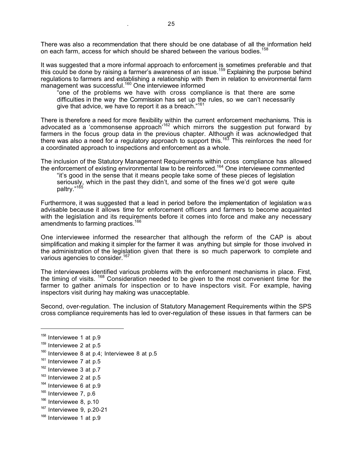There was also a recommendation that there should be one database of all the information held on each farm, access for which should be shared between the various bodies.<sup>158</sup>

It was suggested that a more informal approach to enforcement is sometimes preferable and that this could be done by raising a farmer's awareness of an issue.<sup>159</sup> Explaining the purpose behind regulations to farmers and establishing a relationship with them in relation to environmental farm management was successful.<sup>160</sup> One interviewee informed

"one of the problems we have with cross compliance is that there are some difficulties in the way the Commission has set up the rules, so we can't necessarily give that advice, we have to report it as a breach."<sup>161</sup>

There is therefore a need for more flexibility within the current enforcement mechanisms. This is advocated as a 'commonsense approach<sup>'162</sup> which mirrors the suggestion put forward by farmers in the focus group data in the previous chapter. Although it was acknowledged that there was also a need for a regulatory approach to support this.<sup>163</sup> This reinforces the need for a coordinated approach to inspections and enforcement as a whole.

The inclusion of the Statutory Management Requirements within cross compliance has allowed the enforcement of existing environmental law to be reinforced.<sup>164</sup> One interviewee commented

"it's good in the sense that it means people take some of these pieces of legislation seriously, which in the past they didn't, and some of the fines we'd got were quite paltry."<sup>16</sup>

Furthermore, it was suggested that a lead in period before the implementation of legislation was advisable because it allows time for enforcement officers and farmers to become acquainted with the legislation and its requirements before it comes into force and make any necessary amendments to farming practices.<sup>166</sup>

One interviewee informed the researcher that although the reform of the CAP is about simplification and making it simpler for the farmer it was anything but simple for those involved in the administration of the legislation given that there is so much paperwork to complete and various agencies to consider.<sup>167</sup>

The interviewees identified various problems with the enforcement mechanisms in place. First, the timing of visits. <sup>168</sup> Consideration needed to be given to the most convenient time for the farmer to gather animals for inspection or to have inspectors visit. For example, having inspectors visit during hay making was unacceptable.

Second, over-regulation. The inclusion of Statutory Management Requirements within the SPS cross compliance requirements has led to over-regulation of these issues in that farmers can be

<sup>&</sup>lt;sup>158</sup> Interviewee 1 at p.9

 $159$  Interviewee 2 at p.5

 $160$  Interviewee 8 at p.4; Interviewee 8 at p.5

 $161$  Interviewee 7 at p.5

<sup>&</sup>lt;sup>162</sup> Interviewee 3 at p.7

 $163$  Interviewee 2 at p.5

 $164$  Interviewee 6 at p.9

<sup>&</sup>lt;sup>165</sup> Interviewee 7, p.6

<sup>&</sup>lt;sup>166</sup> Interviewee 8, p.10

 $167$  Interviewee 9, p.20-21

 $168$  Interviewee 1 at p.9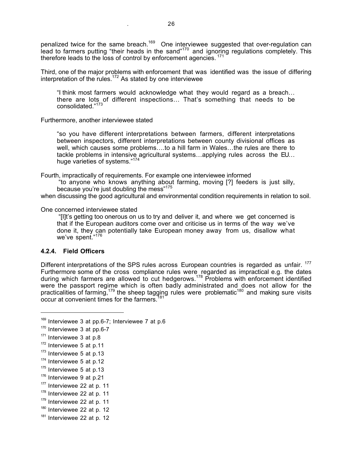penalized twice for the same breach.<sup>169</sup> One interviewee suggested that over-regulation can lead to farmers putting "their heads in the sand"<sup>170</sup> and ignoring regulations completely. This therefore leads to the loss of control by enforcement agencies. <sup>171</sup>

Third, one of the major problems with enforcement that was identified was the issue of differing interpretation of the rules. $172$  As stated by one interviewee

"I think most farmers would acknowledge what they would regard as a breach… there are lots of different inspections… That's something that needs to be consolidated."<sup>173</sup>

Furthermore, another interviewee stated

"so you have different interpretations between farmers, different interpretations between inspectors, different interpretations between county divisional offices as well, which causes some problems….to a hill farm in Wales…the rules are there to tackle problems in intensive agricultural systems…applying rules across the EU… huge varieties of systems."<sup>174</sup>

Fourth, impractically of requirements. For example one interviewee informed

"to anyone who knows anything about farming, moving [?] feeders is just silly, because you're just doubling the mess"<sup>175</sup>

when discussing the good agricultural and environmental condition requirements in relation to soil.

#### One concerned interviewee stated

"[I]t's getting too onerous on us to try and deliver it, and where we get concerned is that if the European auditors come over and criticise us in terms of the way we've done it, they can potentially take European money away from us, disallow what we've spent." $176$ 

### **4.2.4. Field Officers**

Different interpretations of the SPS rules across European countries is regarded as unfair. <sup>177</sup> Furthermore some of the cross compliance rules were regarded as impractical e.g. the dates during which farmers are allowed to cut hedgerows.<sup>178</sup> Problems with enforcement identified were the passport regime which is often badly administrated and does not allow for the practicalities of farming,<sup>179</sup> the sheep tagging rules were problematic<sup>180</sup> and making sure visits occur at convenient times for the farmers.

 $169$  Interviewee 3 at pp.6-7; Interviewee 7 at p.6

 $170$  Interviewee 3 at pp.6-7

 $171$  Interviewee 3 at p.8

 $172$  Interviewee 5 at p.11

 $173$  Interviewee 5 at p.13

<sup>&</sup>lt;sup>174</sup> Interviewee 5 at p.12

 $175$  Interviewee 5 at p.13

 $176$  Interviewee 9 at p.21

<sup>&</sup>lt;sup>177</sup> Interviewee 22 at p. 11

 $178$  Interviewee 22 at p. 11

 $179$  Interviewee 22 at p. 11

 $180$  Interviewee 22 at p. 12

 $181$  Interviewee 22 at p. 12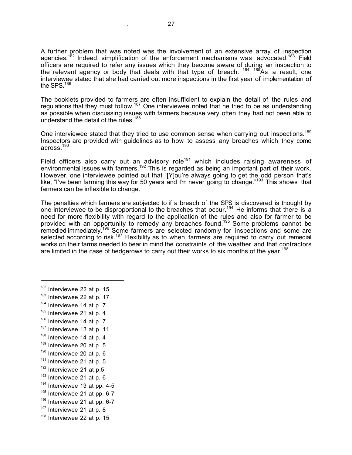A further problem that was noted was the involvement of an extensive array of inspection agencies.<sup>182</sup> Indeed, simplification of the enforcement mechanisms was advocated.<sup>183</sup> Field officers are required to refer any issues which they become aware of during an inspection to the relevant agency or body that deals with that type of breach. <sup>184 185</sup>As a result, one interviewee stated that she had carried out more inspections in the first year of implementation of the SPS.<sup>186</sup>

The booklets provided to farmers are often insufficient to explain the detail of the rules and regulations that they must follow.<sup>187</sup> One interviewee noted that he tried to be as understanding as possible when discussing issues with farmers because very often they had not been able to understand the detail of the rules.<sup>188</sup>

One interviewee stated that they tried to use common sense when carrying out inspections.<sup>189</sup> Inspectors are provided with guidelines as to how to assess any breaches which they come across.<sup>190</sup>

Field officers also carry out an advisory role<sup>191</sup> which includes raising awareness of environmental issues with farmers.<sup>192</sup> This is regarded as being an important part of their work. However, one interviewee pointed out that "[Y]ou're always going to get the odd person that's like, "I've been farming this way for 50 years and I'm never going to change."<sup>193</sup> This shows that farmers can be inflexible to change.

The penalties which farmers are subjected to if a breach of the SPS is discovered is thought by one interviewee to be disproportional to the breaches that occur.<sup>194</sup> He informs that there is a need for more flexibility with regard to the application of the rules and also for farmer to be provided with an opportunity to remedy any breaches found.<sup>195</sup> Some problems cannot be remedied immediately.<sup>196</sup> Some farmers are selected randomly for inspections and some are selected according to risk.<sup>197</sup> Flexibility as to when farmers are required to carry out remedial works on their farms needed to bear in mind the constraints of the weather and that contractors are limited in the case of hedgerows to carry out their works to six months of the year.<sup>198</sup>

- $184$  Interviewee 14 at p. 7
- $185$  Interviewee 21 at p. 4
- $186$  Interviewee 14 at p. 7
- $187$  Interviewee 13 at p. 11
- $188$  Interviewee 14 at p. 4
- $189$  Interviewee 20 at p. 5
- $190$  Interviewee 20 at p. 6
- $191$  Interviewee 21 at p. 5
- $192$  Interviewee 21 at p.5
- $193$  Interviewee 21 at p. 6
- $194$  Interviewee 13 at pp. 4-5
- 
- $195$  Interviewee 21 at pp. 6-7
- $196$  Interviewee 21 at pp. 6-7
- $197$  Interviewee 21 at p. 8
- $198$  Interviewee 22 at p. 15

 $182$  Interviewee 22 at p. 15

 $183$  Interviewee 22 at p. 17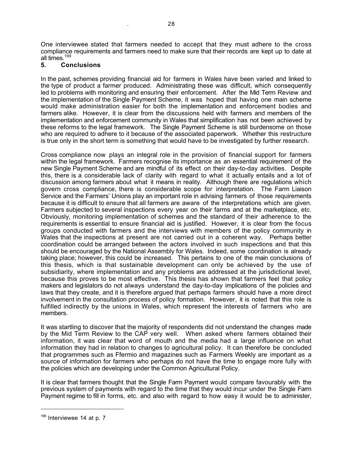One interviewee stated that farmers needed to accept that they must adhere to the cross compliance requirements and farmers need to make sure that their records are kept up to date at all times.<sup>199</sup>

. 28

## **5. Conclusions**

In the past, schemes providing financial aid for farmers in Wales have been varied and linked to the type of product a farmer produced. Administrating these was difficult, which consequently led to problems with monitoring and ensuring their enforcement. After the Mid Term Review and the implementation of the Single Payment Scheme, it was hoped that having one main scheme would make administration easier for both the implementation and enforcement bodies and farmers alike. However, it is clear from the discussions held with farmers and members of the implementation and enforcement community in Wales that simplification has not been achieved by these reforms to the legal framework. The Single Payment Scheme is still burdensome on those who are required to adhere to it because of the associated paperwork. Whether this restructure is true only in the short term is something that would have to be investigated by further research.

Cross compliance now plays an integral role in the provision of financial support for farmers within the legal framework. Farmers recognise its importance as an essential requirement of the new Single Payment Scheme and are mindful of its effect on their day-to-day activities. Despite this, there is a considerable lack of clarity with regard to what it actually entails and a lot of discussion among farmers about what it means in reality. Although there are regulations which govern cross compliance, there is considerable scope for interpretation. The Farm Liaison Service and the Farmers' Unions play an important role in advising farmers of those requirements because it is difficult to ensure that all farmers are aware of the interpretations which are given. Farmers subjected to several inspections every year on their farms and at the marketplace, etc. Obviously, monitoring implementation of schemes and the standard of their adherence to the requirements is essential to ensure financial aid is justified. However, it is clear from the focus groups conducted with farmers and the interviews with members of the policy community in Wales that the inspections at present are not carried out in a coherent way. Perhaps better coordination could be arranged between the actors involved in such inspections and that this should be encouraged by the National Assembly for Wales. Indeed, some coordination is already taking place; however, this could be increased. This pertains to one of the main conclusions of this thesis, which is that sustainable development can only be achieved by the use of subsidiarity, where implementation and any problems are addressed at the jurisdictional level, because this proves to be most effective. This thesis has shown that farmers feel that policy makers and legislators do not always understand the day-to-day implications of the policies and laws that they create, and it is therefore argued that perhaps farmers should have a more direct involvement in the consultation process of policy formation. However, it is noted that this role is fulfilled indirectly by the unions in Wales, which represent the interests of farmers who are members.

It was startling to discover that the majority of respondents did not understand the changes made by the Mid Term Review to the CAP very well. When asked where farmers obtained their information, it was clear that word of mouth and the media had a large influence on what information they had in relation to changes to agricultural policy. It can therefore be concluded that programmes such as Ffermio and magazines such as Farmers Weekly are important as a source of information for farmers who perhaps do not have the time to engage more fully with the policies which are developing under the Common Agricultural Policy.

It is clear that farmers thought that the Single Farm Payment would compare favourably with the previous system of payments with regard to the time that they would incur under the Single Farm Payment regime to fill in forms, etc. and also with regard to how easy it would be to administer,

<sup>&</sup>lt;sup>199</sup> Interviewee 14 at p. 7